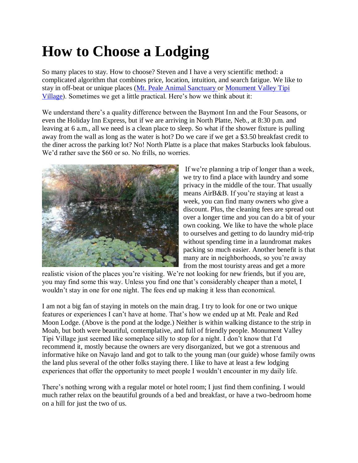## **How to Choose a Lodging**

So many places to stay. How to choose? Steven and I have a very scientific method: a complicated algorithm that combines price, location, intuition, and search fatigue. We like to stay in off-beat or unique places [\(Mt. Peale Animal Sanctuary o](https://doitontheroad.wordpress.com/2018/06/26/we-made-it-to-moab/)r [Monument Valley Tipi](https://doitontheroad.wordpress.com/2018/06/21/tipi-living/)  [Village\)](https://doitontheroad.wordpress.com/2018/06/21/tipi-living/). Sometimes we get a little practical. Here's how we think about it:

We understand there's a quality difference between the Baymont Inn and the Four Seasons, or even the Holiday Inn Express, but if we are arriving in North Platte, Neb., at 8:30 p.m. and leaving at 6 a.m., all we need is a clean place to sleep. So what if the shower fixture is pulling away from the wall as long as the water is hot? Do we care if we get a \$3.50 breakfast credit to the diner across the parking lot? No! North Platte is a place that makes Starbucks look fabulous. We'd rather save the \$60 or so. No frills, no worries.



If we're planning a trip of longer than a week, we try to find a place with laundry and some privacy in the middle of the tour. That usually means AirB&B. If you're staying at least a week, you can find many owners who give a discount. Plus, the cleaning fees are spread out over a longer time and you can do a bit of your own cooking. We like to have the whole place to ourselves and getting to do laundry mid-trip without spending time in a laundromat makes packing so much easier. Another benefit is that many are in neighborhoods, so you're away from the most touristy areas and get a more

realistic vision of the places you're visiting. We're not looking for new friends, but if you are, you may find some this way. Unless you find one that's considerably cheaper than a motel, I wouldn't stay in one for one night. The fees end up making it less than economical.

I am not a big fan of staying in motels on the main drag. I try to look for one or two unique features or experiences I can't have at home. That's how we ended up at Mt. Peale and Red Moon Lodge. (Above is the pond at the lodge.) Neither is within walking distance to the strip in Moab, but both were beautiful, contemplative, and full of friendly people. Monument Valley Tipi Village just seemed like someplace silly to stop for a night. I don't know that I'd recommend it, mostly because the owners are very disorganized, but we got a strenuous and informative hike on Navajo land and got to talk to the young man (our guide) whose family owns the land plus several of the other folks staying there. I like to have at least a few lodging experiences that offer the opportunity to meet people I wouldn't encounter in my daily life.

There's nothing wrong with a regular motel or hotel room; I just find them confining. I would much rather relax on the beautiful grounds of a bed and breakfast, or have a two-bedroom home on a hill for just the two of us.